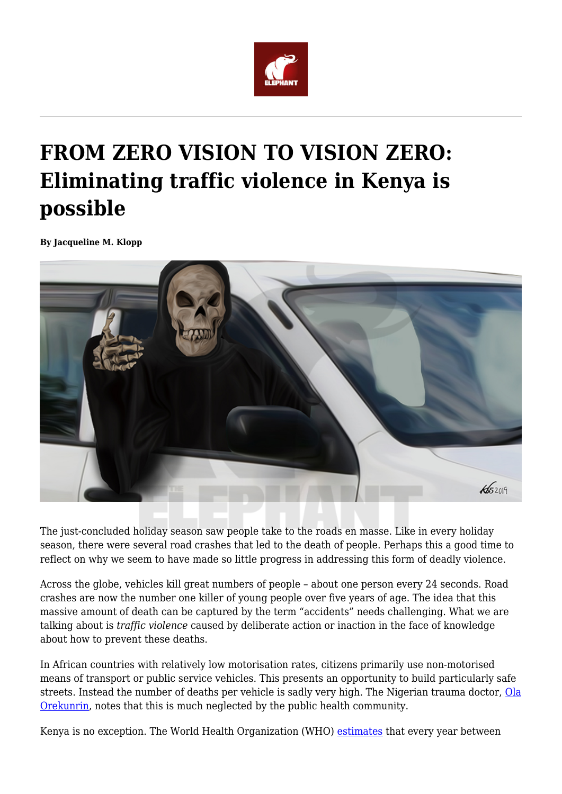

## **FROM ZERO VISION TO VISION ZERO: Eliminating traffic violence in Kenya is possible**

**By Jacqueline M. Klopp**



The just-concluded holiday season saw people take to the roads en masse. Like in every holiday season, there were several road crashes that led to the death of people. Perhaps this a good time to reflect on why we seem to have made so little progress in addressing this form of deadly violence.

Across the globe, vehicles kill great numbers of people – about one person every 24 seconds. Road crashes are now the number one killer of young people over five years of age. The idea that this massive amount of death can be captured by the term "accidents" needs challenging. What we are talking about is *traffic violence* caused by deliberate action or inaction in the face of knowledge about how to prevent these deaths.

In African countries with relatively low motorisation rates, citizens primarily use non-motorised means of transport or public service vehicles. This presents an opportunity to build particularly safe streets. Instead the number of deaths per vehicle is sadly very high. The Nigerian trauma doctor, [Ola](https://www.nytimes.com/2013/10/18/opinion/africas-trauma-epidemic.html) [Orekunrin](https://www.nytimes.com/2013/10/18/opinion/africas-trauma-epidemic.html), notes that this is much neglected by the public health community.

Kenya is no exception. The World Health Organization (WHO) [estimates](https://www.who.int/violence_injury_prevention/road_traffic/countrywork/ken/en/) that every year between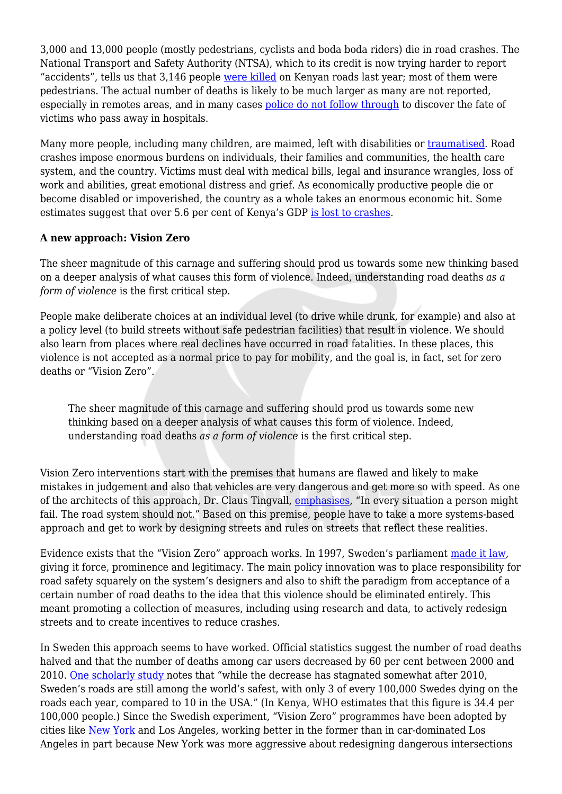3,000 and 13,000 people (mostly pedestrians, cyclists and boda boda riders) die in road crashes. The National Transport and Safety Authority (NTSA), which to its credit is now trying harder to report "accidents", tells us that 3,146 people [were killed](http://www.ntsa.go.ke/index.php?option=com_content&view=article&id=213&Itemid=706) on Kenyan roads last year; most of them were pedestrians. The actual number of deaths is likely to be much larger as many are not reported, especially in remotes areas, and in many cases [police do not follow through](https://africacheck.org/2018/04/03/analysis-figures-kenyas-road-death-toll-vary/) to discover the fate of victims who pass away in hospitals.

Many more people, including many children, are maimed, left with disabilities or [traumatised.](https://www.youtube.com/watch?v=zBa2M6Fwn3A) Road crashes impose enormous burdens on individuals, their families and communities, the health care system, and the country. Victims must deal with medical bills, legal and insurance wrangles, loss of work and abilities, great emotional distress and grief. As economically productive people die or become disabled or impoverished, the country as a whole takes an enormous economic hit. Some estimates suggest that over 5.6 per cent of Kenya's GDP [is lost to crashes.](http://www.nairobibusinessmonthly.com/sh300b-annual-economic-social-cost-of-kenyas-traffic-carnage/)

## **A new approach: Vision Zero**

The sheer magnitude of this carnage and suffering should prod us towards some new thinking based on a deeper analysis of what causes this form of violence. Indeed, understanding road deaths *as a form of violence* is the first critical step.

People make deliberate choices at an individual level (to drive while drunk, for example) and also at a policy level (to build streets without safe pedestrian facilities) that result in violence. We should also learn from places where real declines have occurred in road fatalities. In these places, this violence is not accepted as a normal price to pay for mobility, and the goal is, in fact, set for zero deaths or "Vision Zero".

The sheer magnitude of this carnage and suffering should prod us towards some new thinking based on a deeper analysis of what causes this form of violence. Indeed, understanding road deaths *as a form of violence* is the first critical step.

Vision Zero interventions start with the premises that humans are flawed and likely to make mistakes in judgement and also that vehicles are very dangerous and get more so with speed. As one of the architects of this approach, Dr. Claus Tingvall, [emphasises,](https://centerforactivedesign.org/visionzero) "In every situation a person might fail. The road system should not." Based on this premise, people have to take a more systems-based approach and get to work by designing streets and rules on streets that reflect these realities.

Evidence exists that the "Vision Zero" approach works. In 1997, Sweden's parliament [made it law,](https://reader.elsevier.com/reader/sd/pii/S0925753517309013?token=FFAC22FB61DDFF8C1193D213C1C3A835F23D0835E731BA3988DD958C4E483689B78FF435EED1385CF915FFB23FB64D95) giving it force, prominence and legitimacy. The main policy innovation was to place responsibility for road safety squarely on the system's designers and also to shift the paradigm from acceptance of a certain number of road deaths to the idea that this violence should be eliminated entirely. This meant promoting a collection of measures, including using research and data, to actively redesign streets and to create incentives to reduce crashes.

In Sweden this approach seems to have worked. Official statistics suggest the number of road deaths halved and that the number of deaths among car users decreased by 60 per cent between 2000 and 2010. [One scholarly study n](https://www.sciencedirect.com/science/article/pii/S0925753517309013)otes that "while the decrease has stagnated somewhat after 2010, Sweden's roads are still among the world's safest, with only 3 of every 100,000 Swedes dying on the roads each year, compared to 10 in the USA." (In Kenya, WHO estimates that this figure is 34.4 per 100,000 people.) Since the Swedish experiment, "Vision Zero" programmes have been adopted by cities like [New York](https://vimeo.com/87451748) and Los Angeles, working better in the former than in car-dominated Los Angeles in part because New York was more aggressive about redesigning dangerous intersections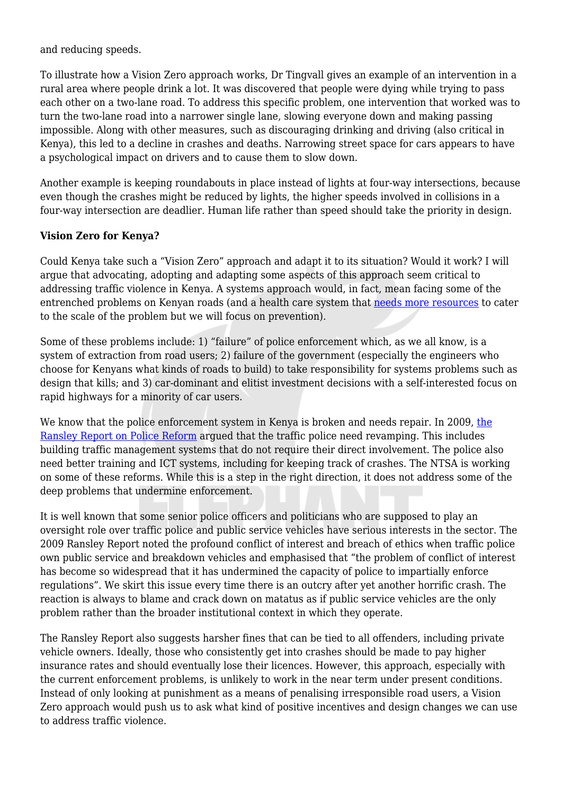and reducing speeds.

To illustrate how a Vision Zero approach works, Dr Tingvall gives an example of an intervention in a rural area where people drink a lot. It was discovered that people were dying while trying to pass each other on a two-lane road. To address this specific problem, one intervention that worked was to turn the two-lane road into a narrower single lane, slowing everyone down and making passing impossible. Along with other measures, such as discouraging drinking and driving (also critical in Kenya), this led to a decline in crashes and deaths. Narrowing street space for cars appears to have a psychological impact on drivers and to cause them to slow down.

Another example is keeping roundabouts in place instead of lights at four-way intersections, because even though the crashes might be reduced by lights, the higher speeds involved in collisions in a four-way intersection are deadlier. Human life rather than speed should take the priority in design.

## **Vision Zero for Kenya?**

Could Kenya take such a "Vision Zero" approach and adapt it to its situation? Would it work? I will argue that advocating, adopting and adapting some aspects of this approach seem critical to addressing traffic violence in Kenya. A systems approach would, in fact, mean facing some of the entrenched problems on Kenyan roads (and a health care system that [needs more resources](https://www.ncbi.nlm.nih.gov/pmc/articles/PMC2707053/) to cater to the scale of the problem but we will focus on prevention).

Some of these problems include: 1) "failure" of police enforcement which, as we all know, is a system of extraction from road users; 2) failure of the government (especially the engineers who choose for Kenyans what kinds of roads to build) to take responsibility for systems problems such as design that kills; and 3) car-dominant and elitist investment decisions with a self-interested focus on rapid highways for a minority of car users.

We know that [the](https://www.scribd.com/doc/245815329/Ransley-Report) police enforcement system in Kenya is broken and needs repair. In 2009, the [Ransley Report on Police Reform](https://www.scribd.com/doc/245815329/Ransley-Report) argued that the traffic police need revamping. This includes building traffic management systems that do not require their direct involvement. The police also need better training and ICT systems, including for keeping track of crashes. The NTSA is working on some of these reforms. While this is a step in the right direction, it does not address some of the deep problems that undermine enforcement.

It is well known that some senior police officers and politicians who are supposed to play an oversight role over traffic police and public service vehicles have serious interests in the sector. The 2009 Ransley Report noted the profound conflict of interest and breach of ethics when traffic police own public service and breakdown vehicles and emphasised that "the problem of conflict of interest has become so widespread that it has undermined the capacity of police to impartially enforce regulations". We skirt this issue every time there is an outcry after yet another horrific crash. The reaction is always to blame and crack down on matatus as if public service vehicles are the only problem rather than the broader institutional context in which they operate.

The Ransley Report also suggests harsher fines that can be tied to all offenders, including private vehicle owners. Ideally, those who consistently get into crashes should be made to pay higher insurance rates and should eventually lose their licences. However, this approach, especially with the current enforcement problems, is unlikely to work in the near term under present conditions. Instead of only looking at punishment as a means of penalising irresponsible road users, a Vision Zero approach would push us to ask what kind of positive incentives and design changes we can use to address traffic violence.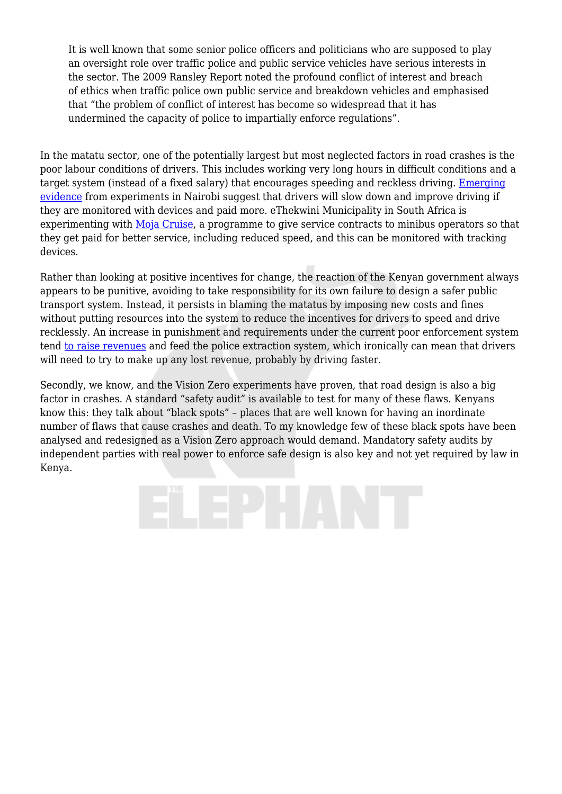It is well known that some senior police officers and politicians who are supposed to play an oversight role over traffic police and public service vehicles have serious interests in the sector. The 2009 Ransley Report noted the profound conflict of interest and breach of ethics when traffic police own public service and breakdown vehicles and emphasised that "the problem of conflict of interest has become so widespread that it has undermined the capacity of police to impartially enforce regulations".

In the matatu sector, one of the potentially largest but most neglected factors in road crashes is the poor labour conditions of drivers. This includes working very long hours in difficult conditions and a target system (instead of a fixed salary) that encourages speeding and reckless driving. [Emerging](https://nextbillion.net/nexthought-monday-harnessing-mobile-technologies-to-make-matatus-and-kenya-safer/) [evidence](https://nextbillion.net/nexthought-monday-harnessing-mobile-technologies-to-make-matatus-and-kenya-safer/) from experiments in Nairobi suggest that drivers will slow down and improve driving if they are monitored with devices and paid more. eThekwini Municipality in South Africa is experimenting with [Moja Cruise,](https://www.iol.co.za/business-report/moja-cruise-a-programme-that-rewards-minibus-taxi-drivers-11787535) a programme to give service contracts to minibus operators so that they get paid for better service, including reduced speed, and this can be monitored with tracking devices.

Rather than looking at positive incentives for change, the reaction of the Kenyan government always appears to be punitive, avoiding to take responsibility for its own failure to design a safer public transport system. Instead, it persists in blaming the matatus by imposing new costs and fines without putting resources into the system to reduce the incentives for drivers to speed and drive recklessly. An increase in punishment and requirements under the current poor enforcement system tend [to raise revenues](https://www.standardmedia.co.ke/business/article/2000080784/new-traffic-act-nets-sh500m-in-four-months) and feed the police extraction system, which ironically can mean that drivers will need to try to make up any lost revenue, probably by driving faster.

Secondly, we know, and the Vision Zero experiments have proven, that road design is also a big factor in crashes. A standard "safety audit" is available to test for many of these flaws. Kenyans know this: they talk about "black spots" – places that are well known for having an inordinate number of flaws that cause crashes and death. To my knowledge few of these black spots have been analysed and redesigned as a Vision Zero approach would demand. Mandatory safety audits by independent parties with real power to enforce safe design is also key and not yet required by law in Kenya.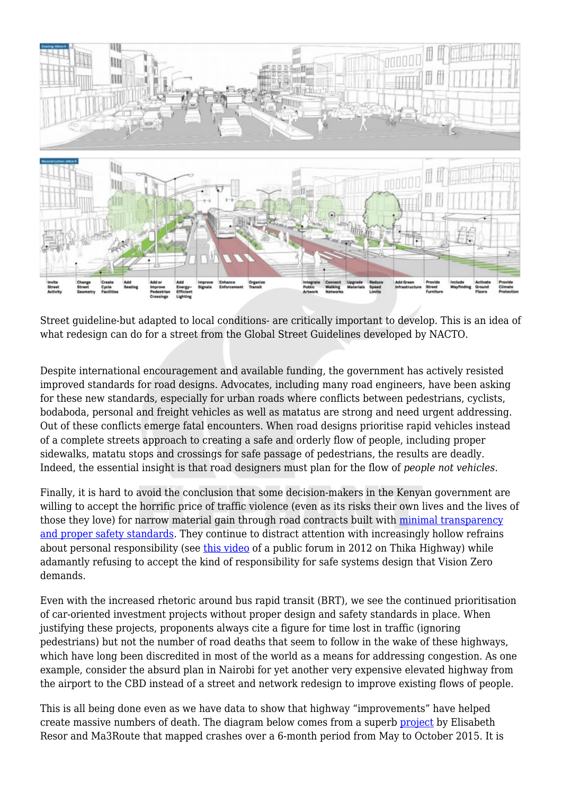

Street guideline-but adapted to local conditions- are critically important to develop. This is an idea of what redesign can do for a street from the Global Street Guidelines developed by NACTO.

Despite international encouragement and available funding, the government has actively resisted improved standards for road designs. Advocates, including many road engineers, have been asking for these new standards, especially for urban roads where conflicts between pedestrians, cyclists, bodaboda, personal and freight vehicles as well as matatus are strong and need urgent addressing. Out of these conflicts emerge fatal encounters. When road designs prioritise rapid vehicles instead of a complete streets approach to creating a safe and orderly flow of people, including proper sidewalks, matatu stops and crossings for safe passage of pedestrians, the results are deadly. Indeed, the essential insight is that road designers must plan for the flow of *people not vehicles*.

Finally, it is hard to avoid the conclusion that some decision-makers in the Kenyan government are willing to accept the horrific price of traffic violence (even as its risks their own lives and the lives of those they love) for narrow material gain through road contracts built with [minimal transparency](http://www.columbia.edu/~jk2002/publications/Klopp12a.pdf) [and proper safety standards](http://www.columbia.edu/~jk2002/publications/Klopp12a.pdf). They continue to distract attention with increasingly hollow refrains about personal responsibility (see [this video](https://www.youtube.com/watch?v=Sr8t-KFVNHw) of a public forum in 2012 on Thika Highway) while adamantly refusing to accept the kind of responsibility for safe systems design that Vision Zero demands.

Even with the increased rhetoric around bus rapid transit (BRT), we see the continued prioritisation of car-oriented investment projects without proper design and safety standards in place. When justifying these projects, proponents always cite a figure for time lost in traffic (ignoring pedestrians) but not the number of road deaths that seem to follow in the wake of these highways, which have long been discredited in most of the world as a means for addressing congestion. As one example, consider the absurd plan in Nairobi for yet another very expensive elevated highway from the airport to the CBD instead of a street and network redesign to improve existing flows of people.

This is all being done even as we have data to show that highway "improvements" have helped create massive numbers of death. The diagram below comes from a superb [project](https://nairobiaccidentmap.com/) by Elisabeth Resor and Ma3Route that mapped crashes over a 6-month period from May to October 2015. It is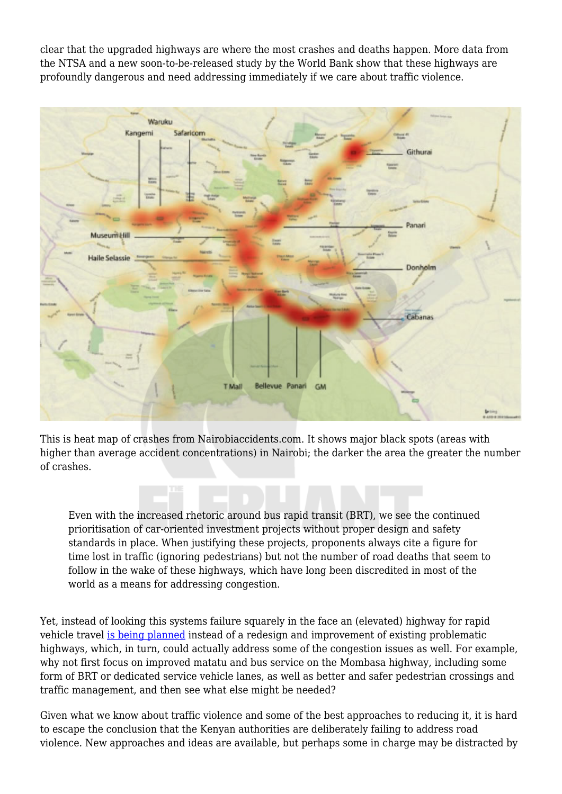clear that the upgraded highways are where the most crashes and deaths happen. More data from the NTSA and a new soon-to-be-released study by the World Bank show that these highways are profoundly dangerous and need addressing immediately if we care about traffic violence.



This is heat map of crashes from Nairobiaccidents.com. It shows major black spots (areas with higher than average accident concentrations) in Nairobi; the darker the area the greater the number of crashes.

Even with the increased rhetoric around bus rapid transit (BRT), we see the continued prioritisation of car-oriented investment projects without proper design and safety standards in place. When justifying these projects, proponents always cite a figure for time lost in traffic (ignoring pedestrians) but not the number of road deaths that seem to follow in the wake of these highways, which have long been discredited in most of the world as a means for addressing congestion.

Yet, instead of looking this systems failure squarely in the face an (elevated) highway for rapid vehicle travel [is being planned](https://www.nation.co.ke/news/Sh21bn-city-roads-project-dropped-over-loan-delay/1056-4909584-il3995/index.html) instead of a redesign and improvement of existing problematic highways, which, in turn, could actually address some of the congestion issues as well. For example, why not first focus on improved matatu and bus service on the Mombasa highway, including some form of BRT or dedicated service vehicle lanes, as well as better and safer pedestrian crossings and traffic management, and then see what else might be needed?

Given what we know about traffic violence and some of the best approaches to reducing it, it is hard to escape the conclusion that the Kenyan authorities are deliberately failing to address road violence. New approaches and ideas are available, but perhaps some in charge may be distracted by